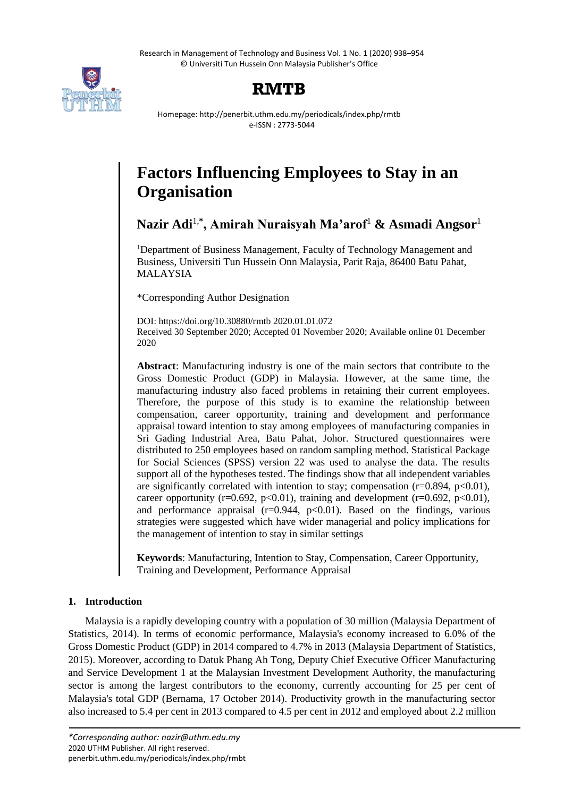Research in Management of Technology and Business Vol. 1 No. 1 (2020) 938–954 © Universiti Tun Hussein Onn Malaysia Publisher's Office



## **RMTB**

Homepage: http://penerbit.uthm.edu.my/periodicals/index.php/rmtb e-ISSN : 2773-5044

# **Factors Influencing Employees to Stay in an Organisation**

**Nazir Adi**1,**\* , Amirah Nuraisyah Ma'arof**<sup>1</sup> **& Asmadi Angsor**<sup>1</sup>

<sup>1</sup>Department of Business Management, Faculty of Technology Management and Business, Universiti Tun Hussein Onn Malaysia, Parit Raja, 86400 Batu Pahat, MALAYSIA

\*Corresponding Author Designation

DOI: https://doi.org/10.30880/rmtb 2020.01.01.072 Received 30 September 2020; Accepted 01 November 2020; Available online 01 December 2020

**Abstract**: Manufacturing industry is one of the main sectors that contribute to the Gross Domestic Product (GDP) in Malaysia. However, at the same time, the manufacturing industry also faced problems in retaining their current employees. Therefore, the purpose of this study is to examine the relationship between compensation, career opportunity, training and development and performance appraisal toward intention to stay among employees of manufacturing companies in Sri Gading Industrial Area, Batu Pahat, Johor. Structured questionnaires were distributed to 250 employees based on random sampling method. Statistical Package for Social Sciences (SPSS) version 22 was used to analyse the data. The results support all of the hypotheses tested. The findings show that all independent variables are significantly correlated with intention to stay; compensation  $(r=0.894, p<0.01)$ , career opportunity (r=0.692, p<0.01), training and development (r=0.692, p<0.01), and performance appraisal ( $r=0.944$ ,  $p<0.01$ ). Based on the findings, various strategies were suggested which have wider managerial and policy implications for the management of intention to stay in similar settings

**Keywords**: Manufacturing, Intention to Stay, Compensation, Career Opportunity, Training and Development, Performance Appraisal

## **1. Introduction**

Malaysia is a rapidly developing country with a population of 30 million (Malaysia Department of Statistics, 2014). In terms of economic performance, Malaysia's economy increased to 6.0% of the Gross Domestic Product (GDP) in 2014 compared to 4.7% in 2013 (Malaysia Department of Statistics, 2015). Moreover, according to Datuk Phang Ah Tong, Deputy Chief Executive Officer Manufacturing and Service Development 1 at the Malaysian Investment Development Authority, the manufacturing sector is among the largest contributors to the economy, currently accounting for 25 per cent of Malaysia's total GDP (Bernama, 17 October 2014). Productivity growth in the manufacturing sector also increased to 5.4 per cent in 2013 compared to 4.5 per cent in 2012 and employed about 2.2 million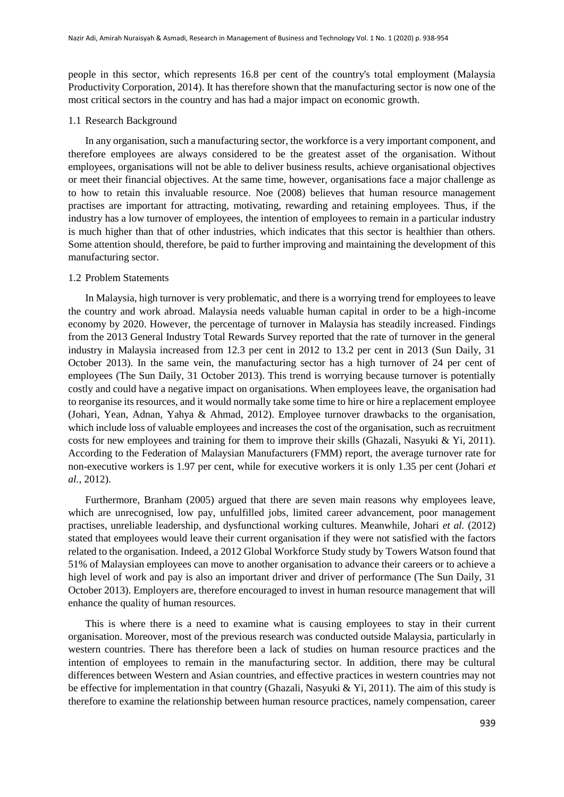people in this sector, which represents 16.8 per cent of the country's total employment (Malaysia Productivity Corporation, 2014). It has therefore shown that the manufacturing sector is now one of the most critical sectors in the country and has had a major impact on economic growth.

## 1.1 Research Background

In any organisation, such a manufacturing sector, the workforce is a very important component, and therefore employees are always considered to be the greatest asset of the organisation. Without employees, organisations will not be able to deliver business results, achieve organisational objectives or meet their financial objectives. At the same time, however, organisations face a major challenge as to how to retain this invaluable resource. Noe (2008) believes that human resource management practises are important for attracting, motivating, rewarding and retaining employees. Thus, if the industry has a low turnover of employees, the intention of employees to remain in a particular industry is much higher than that of other industries, which indicates that this sector is healthier than others. Some attention should, therefore, be paid to further improving and maintaining the development of this manufacturing sector.

## 1.2 Problem Statements

In Malaysia, high turnover is very problematic, and there is a worrying trend for employees to leave the country and work abroad. Malaysia needs valuable human capital in order to be a high-income economy by 2020. However, the percentage of turnover in Malaysia has steadily increased. Findings from the 2013 General Industry Total Rewards Survey reported that the rate of turnover in the general industry in Malaysia increased from 12.3 per cent in 2012 to 13.2 per cent in 2013 (Sun Daily, 31 October 2013). In the same vein, the manufacturing sector has a high turnover of 24 per cent of employees (The Sun Daily, 31 October 2013). This trend is worrying because turnover is potentially costly and could have a negative impact on organisations. When employees leave, the organisation had to reorganise its resources, and it would normally take some time to hire or hire a replacement employee (Johari, Yean, Adnan, Yahya & Ahmad, 2012). Employee turnover drawbacks to the organisation, which include loss of valuable employees and increases the cost of the organisation, such as recruitment costs for new employees and training for them to improve their skills (Ghazali, Nasyuki & Yi, 2011). According to the Federation of Malaysian Manufacturers (FMM) report, the average turnover rate for non-executive workers is 1.97 per cent, while for executive workers it is only 1.35 per cent (Johari *et al.*, 2012).

Furthermore, Branham (2005) argued that there are seven main reasons why employees leave, which are unrecognised, low pay, unfulfilled jobs, limited career advancement, poor management practises, unreliable leadership, and dysfunctional working cultures. Meanwhile, Johari *et al.* (2012) stated that employees would leave their current organisation if they were not satisfied with the factors related to the organisation. Indeed, a 2012 Global Workforce Study study by Towers Watson found that 51% of Malaysian employees can move to another organisation to advance their careers or to achieve a high level of work and pay is also an important driver and driver of performance (The Sun Daily, 31 October 2013). Employers are, therefore encouraged to invest in human resource management that will enhance the quality of human resources.

This is where there is a need to examine what is causing employees to stay in their current organisation. Moreover, most of the previous research was conducted outside Malaysia, particularly in western countries. There has therefore been a lack of studies on human resource practices and the intention of employees to remain in the manufacturing sector. In addition, there may be cultural differences between Western and Asian countries, and effective practices in western countries may not be effective for implementation in that country (Ghazali, Nasyuki & Yi, 2011). The aim of this study is therefore to examine the relationship between human resource practices, namely compensation, career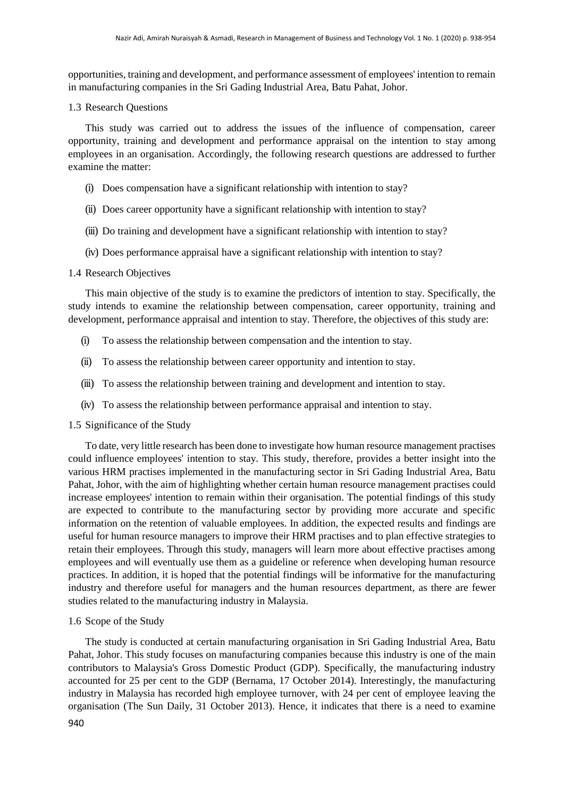opportunities, training and development, and performance assessment of employees' intention to remain in manufacturing companies in the Sri Gading Industrial Area, Batu Pahat, Johor.

## 1.3 Research Questions

This study was carried out to address the issues of the influence of compensation, career opportunity, training and development and performance appraisal on the intention to stay among employees in an organisation. Accordingly, the following research questions are addressed to further examine the matter:

- (i) Does compensation have a significant relationship with intention to stay?
- (ii) Does career opportunity have a significant relationship with intention to stay?
- (iii) Do training and development have a significant relationship with intention to stay?
- (iv) Does performance appraisal have a significant relationship with intention to stay?

## 1.4 Research Objectives

This main objective of the study is to examine the predictors of intention to stay. Specifically, the study intends to examine the relationship between compensation, career opportunity, training and development, performance appraisal and intention to stay. Therefore, the objectives of this study are:

- (i) To assess the relationship between compensation and the intention to stay.
- (ii) To assess the relationship between career opportunity and intention to stay.
- (iii) To assess the relationship between training and development and intention to stay.
- (iv) To assess the relationship between performance appraisal and intention to stay.

## 1.5 Significance of the Study

To date, very little research has been done to investigate how human resource management practises could influence employees' intention to stay. This study, therefore, provides a better insight into the various HRM practises implemented in the manufacturing sector in Sri Gading Industrial Area, Batu Pahat, Johor, with the aim of highlighting whether certain human resource management practises could increase employees' intention to remain within their organisation. The potential findings of this study are expected to contribute to the manufacturing sector by providing more accurate and specific information on the retention of valuable employees. In addition, the expected results and findings are useful for human resource managers to improve their HRM practises and to plan effective strategies to retain their employees. Through this study, managers will learn more about effective practises among employees and will eventually use them as a guideline or reference when developing human resource practices. In addition, it is hoped that the potential findings will be informative for the manufacturing industry and therefore useful for managers and the human resources department, as there are fewer studies related to the manufacturing industry in Malaysia.

## 1.6 Scope of the Study

The study is conducted at certain manufacturing organisation in Sri Gading Industrial Area, Batu Pahat, Johor. This study focuses on manufacturing companies because this industry is one of the main contributors to Malaysia's Gross Domestic Product (GDP). Specifically, the manufacturing industry accounted for 25 per cent to the GDP (Bernama, 17 October 2014). Interestingly, the manufacturing industry in Malaysia has recorded high employee turnover, with 24 per cent of employee leaving the organisation (The Sun Daily, 31 October 2013). Hence, it indicates that there is a need to examine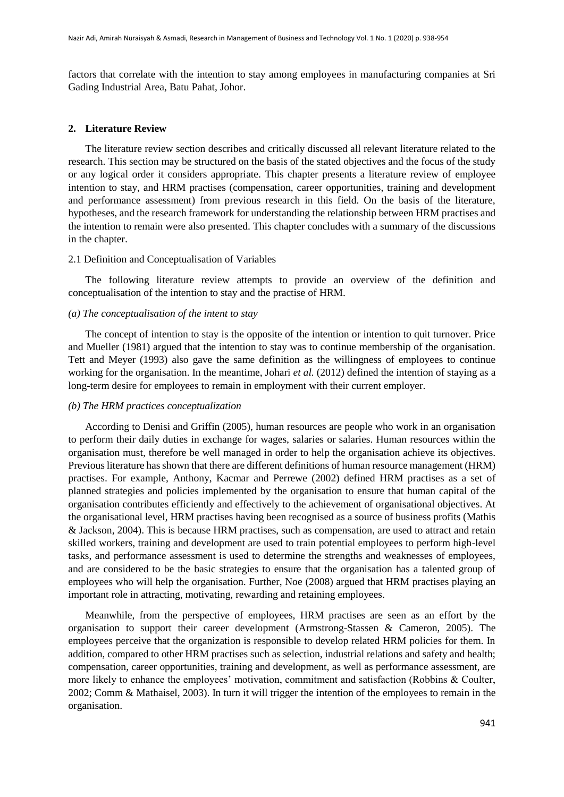factors that correlate with the intention to stay among employees in manufacturing companies at Sri Gading Industrial Area, Batu Pahat, Johor.

#### **2. Literature Review**

The literature review section describes and critically discussed all relevant literature related to the research. This section may be structured on the basis of the stated objectives and the focus of the study or any logical order it considers appropriate. This chapter presents a literature review of employee intention to stay, and HRM practises (compensation, career opportunities, training and development and performance assessment) from previous research in this field. On the basis of the literature, hypotheses, and the research framework for understanding the relationship between HRM practises and the intention to remain were also presented. This chapter concludes with a summary of the discussions in the chapter.

#### 2.1 Definition and Conceptualisation of Variables

The following literature review attempts to provide an overview of the definition and conceptualisation of the intention to stay and the practise of HRM.

#### *(a) The conceptualisation of the intent to stay*

The concept of intention to stay is the opposite of the intention or intention to quit turnover. Price and Mueller (1981) argued that the intention to stay was to continue membership of the organisation. Tett and Meyer (1993) also gave the same definition as the willingness of employees to continue working for the organisation. In the meantime, Johari *et al.* (2012) defined the intention of staying as a long-term desire for employees to remain in employment with their current employer.

#### *(b) The HRM practices conceptualization*

According to Denisi and Griffin (2005), human resources are people who work in an organisation to perform their daily duties in exchange for wages, salaries or salaries. Human resources within the organisation must, therefore be well managed in order to help the organisation achieve its objectives. Previous literature has shown that there are different definitions of human resource management (HRM) practises. For example, Anthony, Kacmar and Perrewe (2002) defined HRM practises as a set of planned strategies and policies implemented by the organisation to ensure that human capital of the organisation contributes efficiently and effectively to the achievement of organisational objectives. At the organisational level, HRM practises having been recognised as a source of business profits (Mathis & Jackson, 2004). This is because HRM practises, such as compensation, are used to attract and retain skilled workers, training and development are used to train potential employees to perform high-level tasks, and performance assessment is used to determine the strengths and weaknesses of employees, and are considered to be the basic strategies to ensure that the organisation has a talented group of employees who will help the organisation. Further, Noe (2008) argued that HRM practises playing an important role in attracting, motivating, rewarding and retaining employees.

Meanwhile, from the perspective of employees, HRM practises are seen as an effort by the organisation to support their career development (Armstrong-Stassen & Cameron, 2005). The employees perceive that the organization is responsible to develop related HRM policies for them. In addition, compared to other HRM practises such as selection, industrial relations and safety and health; compensation, career opportunities, training and development, as well as performance assessment, are more likely to enhance the employees' motivation, commitment and satisfaction (Robbins & Coulter, 2002; Comm & Mathaisel, 2003). In turn it will trigger the intention of the employees to remain in the organisation.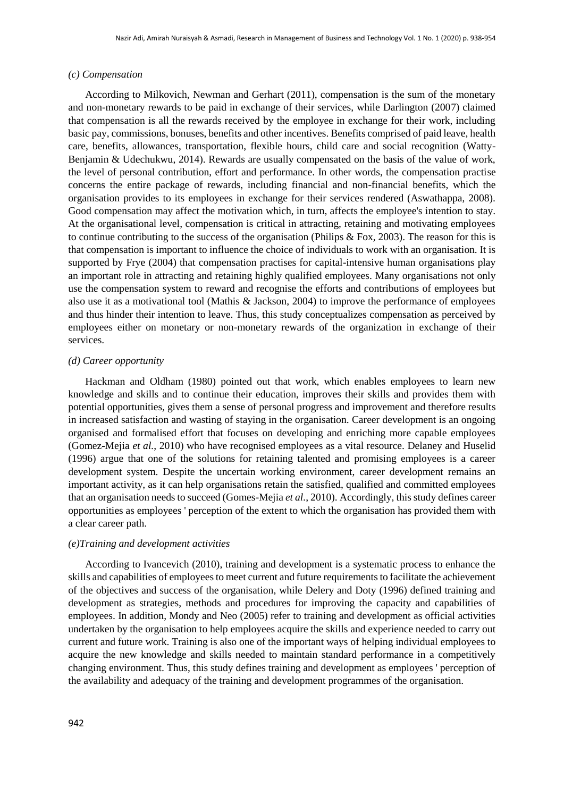#### *(c) Compensation*

According to Milkovich, Newman and Gerhart (2011), compensation is the sum of the monetary and non-monetary rewards to be paid in exchange of their services, while Darlington (2007) claimed that compensation is all the rewards received by the employee in exchange for their work, including basic pay, commissions, bonuses, benefits and other incentives. Benefits comprised of paid leave, health care, benefits, allowances, transportation, flexible hours, child care and social recognition (Watty-Benjamin & Udechukwu, 2014). Rewards are usually compensated on the basis of the value of work, the level of personal contribution, effort and performance. In other words, the compensation practise concerns the entire package of rewards, including financial and non-financial benefits, which the organisation provides to its employees in exchange for their services rendered (Aswathappa, 2008). Good compensation may affect the motivation which, in turn, affects the employee's intention to stay. At the organisational level, compensation is critical in attracting, retaining and motivating employees to continue contributing to the success of the organisation (Philips  $\&$  Fox, 2003). The reason for this is that compensation is important to influence the choice of individuals to work with an organisation. It is supported by Frye (2004) that compensation practises for capital-intensive human organisations play an important role in attracting and retaining highly qualified employees. Many organisations not only use the compensation system to reward and recognise the efforts and contributions of employees but also use it as a motivational tool (Mathis & Jackson, 2004) to improve the performance of employees and thus hinder their intention to leave. Thus, this study conceptualizes compensation as perceived by employees either on monetary or non-monetary rewards of the organization in exchange of their services.

#### *(d) Career opportunity*

Hackman and Oldham (1980) pointed out that work, which enables employees to learn new knowledge and skills and to continue their education, improves their skills and provides them with potential opportunities, gives them a sense of personal progress and improvement and therefore results in increased satisfaction and wasting of staying in the organisation. Career development is an ongoing organised and formalised effort that focuses on developing and enriching more capable employees (Gomez-Mejia *et al.*, 2010) who have recognised employees as a vital resource. Delaney and Huselid (1996) argue that one of the solutions for retaining talented and promising employees is a career development system. Despite the uncertain working environment, career development remains an important activity, as it can help organisations retain the satisfied, qualified and committed employees that an organisation needs to succeed (Gomes-Mejia *et al.*, 2010). Accordingly, this study defines career opportunities as employees ' perception of the extent to which the organisation has provided them with a clear career path.

#### *(e)Training and development activities*

According to Ivancevich (2010), training and development is a systematic process to enhance the skills and capabilities of employees to meet current and future requirements to facilitate the achievement of the objectives and success of the organisation, while Delery and Doty (1996) defined training and development as strategies, methods and procedures for improving the capacity and capabilities of employees. In addition, Mondy and Neo (2005) refer to training and development as official activities undertaken by the organisation to help employees acquire the skills and experience needed to carry out current and future work. Training is also one of the important ways of helping individual employees to acquire the new knowledge and skills needed to maintain standard performance in a competitively changing environment. Thus, this study defines training and development as employees ' perception of the availability and adequacy of the training and development programmes of the organisation.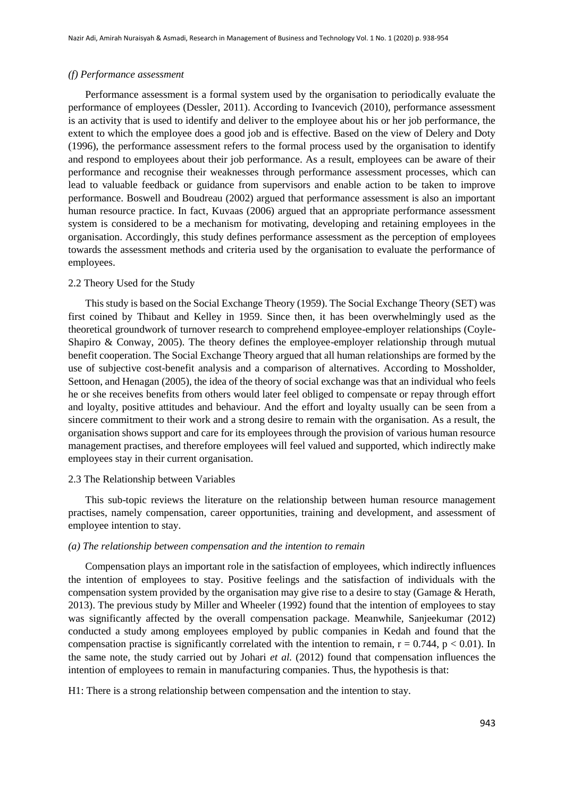#### *(f) Performance assessment*

Performance assessment is a formal system used by the organisation to periodically evaluate the performance of employees (Dessler, 2011). According to Ivancevich (2010), performance assessment is an activity that is used to identify and deliver to the employee about his or her job performance, the extent to which the employee does a good job and is effective. Based on the view of Delery and Doty (1996), the performance assessment refers to the formal process used by the organisation to identify and respond to employees about their job performance. As a result, employees can be aware of their performance and recognise their weaknesses through performance assessment processes, which can lead to valuable feedback or guidance from supervisors and enable action to be taken to improve performance. Boswell and Boudreau (2002) argued that performance assessment is also an important human resource practice. In fact, Kuvaas (2006) argued that an appropriate performance assessment system is considered to be a mechanism for motivating, developing and retaining employees in the organisation. Accordingly, this study defines performance assessment as the perception of employees towards the assessment methods and criteria used by the organisation to evaluate the performance of employees.

#### 2.2 Theory Used for the Study

This study is based on the Social Exchange Theory (1959). The Social Exchange Theory (SET) was first coined by Thibaut and Kelley in 1959. Since then, it has been overwhelmingly used as the theoretical groundwork of turnover research to comprehend employee-employer relationships (Coyle-Shapiro & Conway, 2005). The theory defines the employee-employer relationship through mutual benefit cooperation. The Social Exchange Theory argued that all human relationships are formed by the use of subjective cost-benefit analysis and a comparison of alternatives. According to Mossholder, Settoon, and Henagan (2005), the idea of the theory of social exchange was that an individual who feels he or she receives benefits from others would later feel obliged to compensate or repay through effort and loyalty, positive attitudes and behaviour. And the effort and loyalty usually can be seen from a sincere commitment to their work and a strong desire to remain with the organisation. As a result, the organisation shows support and care for its employees through the provision of various human resource management practises, and therefore employees will feel valued and supported, which indirectly make employees stay in their current organisation.

#### 2.3 The Relationship between Variables

This sub-topic reviews the literature on the relationship between human resource management practises, namely compensation, career opportunities, training and development, and assessment of employee intention to stay.

## *(a) The relationship between compensation and the intention to remain*

Compensation plays an important role in the satisfaction of employees, which indirectly influences the intention of employees to stay. Positive feelings and the satisfaction of individuals with the compensation system provided by the organisation may give rise to a desire to stay (Gamage & Herath, 2013). The previous study by Miller and Wheeler (1992) found that the intention of employees to stay was significantly affected by the overall compensation package. Meanwhile, Sanjeekumar (2012) conducted a study among employees employed by public companies in Kedah and found that the compensation practise is significantly correlated with the intention to remain,  $r = 0.744$ ,  $p < 0.01$ ). In the same note, the study carried out by Johari *et al.* (2012) found that compensation influences the intention of employees to remain in manufacturing companies. Thus, the hypothesis is that:

H1: There is a strong relationship between compensation and the intention to stay.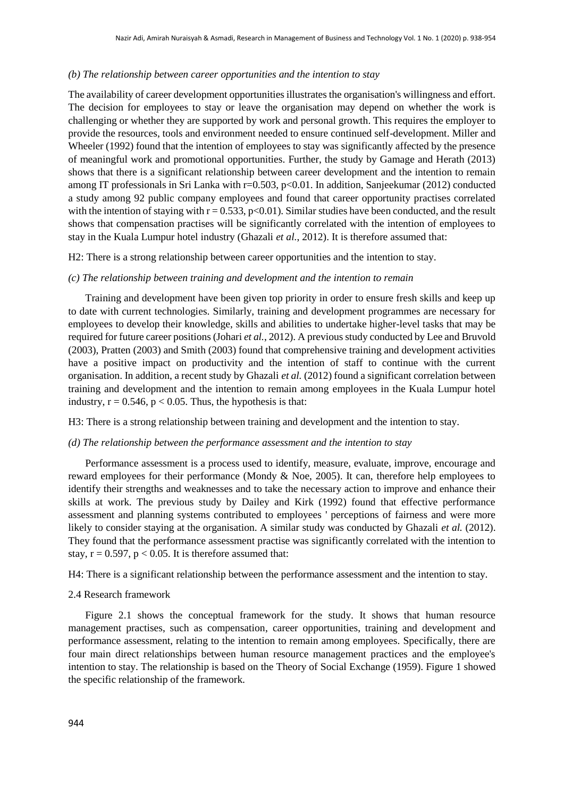#### *(b) The relationship between career opportunities and the intention to stay*

The availability of career development opportunities illustrates the organisation's willingness and effort. The decision for employees to stay or leave the organisation may depend on whether the work is challenging or whether they are supported by work and personal growth. This requires the employer to provide the resources, tools and environment needed to ensure continued self-development. Miller and Wheeler (1992) found that the intention of employees to stay was significantly affected by the presence of meaningful work and promotional opportunities. Further, the study by Gamage and Herath (2013) shows that there is a significant relationship between career development and the intention to remain among IT professionals in Sri Lanka with r=0.503, p<0.01. In addition, Sanjeekumar (2012) conducted a study among 92 public company employees and found that career opportunity practises correlated with the intention of staying with  $r = 0.533$ ,  $p < 0.01$ ). Similar studies have been conducted, and the result shows that compensation practises will be significantly correlated with the intention of employees to stay in the Kuala Lumpur hotel industry (Ghazali *et al.*, 2012). It is therefore assumed that:

H2: There is a strong relationship between career opportunities and the intention to stay.

#### *(c) The relationship between training and development and the intention to remain*

Training and development have been given top priority in order to ensure fresh skills and keep up to date with current technologies. Similarly, training and development programmes are necessary for employees to develop their knowledge, skills and abilities to undertake higher-level tasks that may be required for future career positions (Johari *et al.*, 2012). A previous study conducted by Lee and Bruvold (2003), Pratten (2003) and Smith (2003) found that comprehensive training and development activities have a positive impact on productivity and the intention of staff to continue with the current organisation. In addition, a recent study by Ghazali *et al.* (2012) found a significant correlation between training and development and the intention to remain among employees in the Kuala Lumpur hotel industry,  $r = 0.546$ ,  $p < 0.05$ . Thus, the hypothesis is that:

H3: There is a strong relationship between training and development and the intention to stay.

#### *(d) The relationship between the performance assessment and the intention to stay*

Performance assessment is a process used to identify, measure, evaluate, improve, encourage and reward employees for their performance (Mondy & Noe, 2005). It can, therefore help employees to identify their strengths and weaknesses and to take the necessary action to improve and enhance their skills at work. The previous study by Dailey and Kirk (1992) found that effective performance assessment and planning systems contributed to employees ' perceptions of fairness and were more likely to consider staying at the organisation. A similar study was conducted by Ghazali *et al.* (2012). They found that the performance assessment practise was significantly correlated with the intention to stay,  $r = 0.597$ ,  $p < 0.05$ . It is therefore assumed that:

H4: There is a significant relationship between the performance assessment and the intention to stay.

## 2.4 Research framework

Figure 2.1 shows the conceptual framework for the study. It shows that human resource management practises, such as compensation, career opportunities, training and development and performance assessment, relating to the intention to remain among employees. Specifically, there are four main direct relationships between human resource management practices and the employee's intention to stay. The relationship is based on the Theory of Social Exchange (1959). Figure 1 showed the specific relationship of the framework.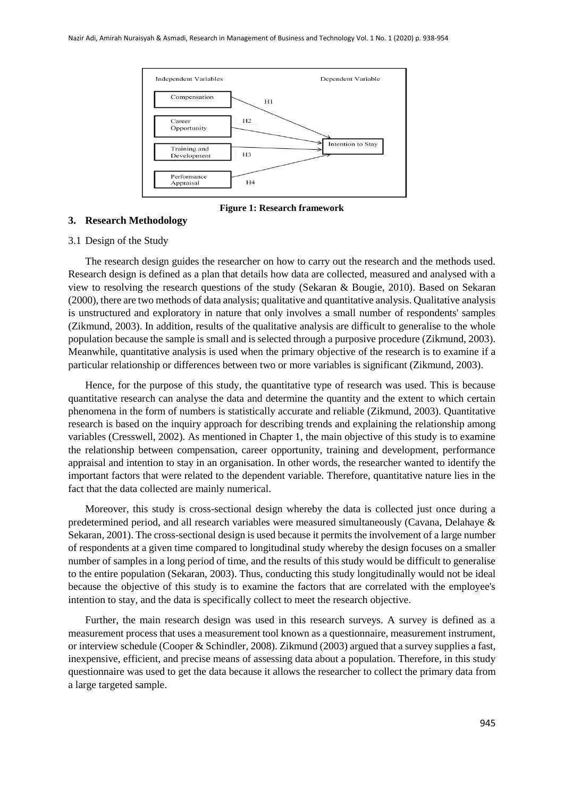

**Figure 1: Research framework**

#### **3. Research Methodology**

#### 3.1 Design of the Study

The research design guides the researcher on how to carry out the research and the methods used. Research design is defined as a plan that details how data are collected, measured and analysed with a view to resolving the research questions of the study (Sekaran & Bougie, 2010). Based on Sekaran (2000), there are two methods of data analysis; qualitative and quantitative analysis. Qualitative analysis is unstructured and exploratory in nature that only involves a small number of respondents' samples (Zikmund, 2003). In addition, results of the qualitative analysis are difficult to generalise to the whole population because the sample is small and is selected through a purposive procedure (Zikmund, 2003). Meanwhile, quantitative analysis is used when the primary objective of the research is to examine if a particular relationship or differences between two or more variables is significant (Zikmund, 2003).

Hence, for the purpose of this study, the quantitative type of research was used. This is because quantitative research can analyse the data and determine the quantity and the extent to which certain phenomena in the form of numbers is statistically accurate and reliable (Zikmund, 2003). Quantitative research is based on the inquiry approach for describing trends and explaining the relationship among variables (Cresswell, 2002). As mentioned in Chapter 1, the main objective of this study is to examine the relationship between compensation, career opportunity, training and development, performance appraisal and intention to stay in an organisation. In other words, the researcher wanted to identify the important factors that were related to the dependent variable. Therefore, quantitative nature lies in the fact that the data collected are mainly numerical.

Moreover, this study is cross-sectional design whereby the data is collected just once during a predetermined period, and all research variables were measured simultaneously (Cavana, Delahaye & Sekaran, 2001). The cross-sectional design is used because it permits the involvement of a large number of respondents at a given time compared to longitudinal study whereby the design focuses on a smaller number of samples in a long period of time, and the results of this study would be difficult to generalise to the entire population (Sekaran, 2003). Thus, conducting this study longitudinally would not be ideal because the objective of this study is to examine the factors that are correlated with the employee's intention to stay, and the data is specifically collect to meet the research objective.

Further, the main research design was used in this research surveys. A survey is defined as a measurement process that uses a measurement tool known as a questionnaire, measurement instrument, or interview schedule (Cooper & Schindler, 2008). Zikmund (2003) argued that a survey supplies a fast, inexpensive, efficient, and precise means of assessing data about a population. Therefore, in this study questionnaire was used to get the data because it allows the researcher to collect the primary data from a large targeted sample.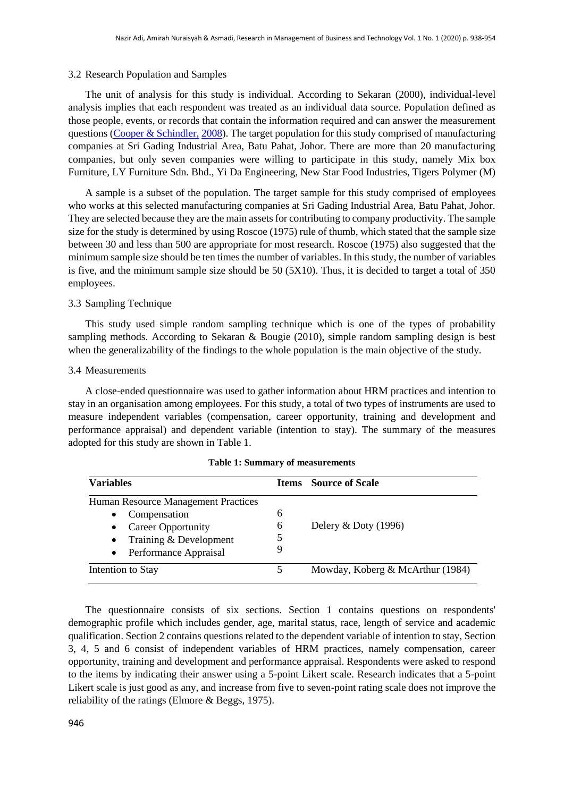#### 3.2 Research Population and Samples

The unit of analysis for this study is individual. According to Sekaran (2000), individual-level analysis implies that each respondent was treated as an individual data source. Population defined as those people, events, or records that contain the information required and can answer the measurement questions [\(Cooper & Schindler,](#page-13-0) [2008\)](#page-13-0). The target population for this study comprised of manufacturing companies at Sri Gading Industrial Area, Batu Pahat, Johor. There are more than 20 manufacturing companies, but only seven companies were willing to participate in this study, namely Mix box Furniture, LY Furniture Sdn. Bhd., Yi Da Engineering, New Star Food Industries, Tigers Polymer (M)

A sample is a subset of the population. The target sample for this study comprised of employees who works at this selected manufacturing companies at Sri Gading Industrial Area, Batu Pahat, Johor. They are selected because they are the main assets for contributing to company productivity. The sample size for the study is determined by using Roscoe (1975) rule of thumb, which stated that the sample size between 30 and less than 500 are appropriate for most research. Roscoe (1975) also suggested that the minimum sample size should be ten times the number of variables. In this study, the number of variables is five, and the minimum sample size should be 50 (5X10). Thus, it is decided to target a total of 350 employees.

## 3.3 Sampling Technique

This study used simple random sampling technique which is one of the types of probability sampling methods. According to Sekaran & Bougie (2010), simple random sampling design is best when the generalizability of the findings to the whole population is the main objective of the study.

## 3.4 Measurements

A close-ended questionnaire was used to gather information about HRM practices and intention to stay in an organisation among employees. For this study, a total of two types of instruments are used to measure independent variables (compensation, career opportunity, training and development and performance appraisal) and dependent variable (intention to stay). The summary of the measures adopted for this study are shown in Table 1.

| <b>Variables</b>                                                                                                                                       |             | <b>Items</b> Source of Scale     |
|--------------------------------------------------------------------------------------------------------------------------------------------------------|-------------|----------------------------------|
| Human Resource Management Practices<br>Compensation<br>$\bullet$<br><b>Career Opportunity</b><br>• Training $&$ Development<br>• Performance Appraisal | 6<br>6<br>5 | Delery $&$ Doty (1996)           |
| Intention to Stay                                                                                                                                      |             | Mowday, Koberg & McArthur (1984) |

|  |  | <b>Table 1: Summary of measurements</b> |
|--|--|-----------------------------------------|
|--|--|-----------------------------------------|

The questionnaire consists of six sections. Section 1 contains questions on respondents' demographic profile which includes gender, age, marital status, race, length of service and academic qualification. Section 2 contains questions related to the dependent variable of intention to stay, Section 3, 4, 5 and 6 consist of independent variables of HRM practices, namely compensation, career opportunity, training and development and performance appraisal. Respondents were asked to respond to the items by indicating their answer using a 5-point Likert scale. Research indicates that a 5-point Likert scale is just good as any, and increase from five to seven-point rating scale does not improve the reliability of the ratings (Elmore & Beggs, 1975).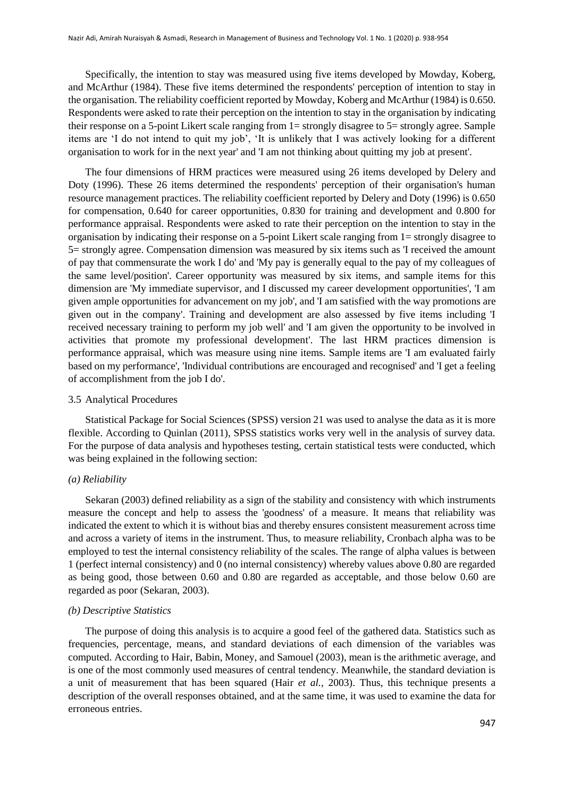Specifically, the intention to stay was measured using five items developed by Mowday, Koberg, and McArthur (1984). These five items determined the respondents' perception of intention to stay in the organisation. The reliability coefficient reported by Mowday, Koberg and McArthur (1984) is 0.650. Respondents were asked to rate their perception on the intention to stay in the organisation by indicating their response on a 5-point Likert scale ranging from 1= strongly disagree to 5= strongly agree. Sample items are 'I do not intend to quit my job', 'It is unlikely that I was actively looking for a different organisation to work for in the next year' and 'I am not thinking about quitting my job at present'.

The four dimensions of HRM practices were measured using 26 items developed by Delery and Doty (1996). These 26 items determined the respondents' perception of their organisation's human resource management practices. The reliability coefficient reported by Delery and Doty (1996) is 0.650 for compensation, 0.640 for career opportunities, 0.830 for training and development and 0.800 for performance appraisal. Respondents were asked to rate their perception on the intention to stay in the organisation by indicating their response on a 5-point Likert scale ranging from 1= strongly disagree to 5= strongly agree. Compensation dimension was measured by six items such as 'I received the amount of pay that commensurate the work I do' and 'My pay is generally equal to the pay of my colleagues of the same level/position'. Career opportunity was measured by six items, and sample items for this dimension are 'My immediate supervisor, and I discussed my career development opportunities', 'I am given ample opportunities for advancement on my job', and 'I am satisfied with the way promotions are given out in the company'. Training and development are also assessed by five items including 'I received necessary training to perform my job well' and 'I am given the opportunity to be involved in activities that promote my professional development'. The last HRM practices dimension is performance appraisal, which was measure using nine items. Sample items are 'I am evaluated fairly based on my performance', 'Individual contributions are encouraged and recognised' and 'I get a feeling of accomplishment from the job I do'.

## 3.5 Analytical Procedures

Statistical Package for Social Sciences (SPSS) version 21 was used to analyse the data as it is more flexible. According to Quinlan (2011), SPSS statistics works very well in the analysis of survey data. For the purpose of data analysis and hypotheses testing, certain statistical tests were conducted, which was being explained in the following section:

## *(a) Reliability*

Sekaran (2003) defined reliability as a sign of the stability and consistency with which instruments measure the concept and help to assess the 'goodness' of a measure. It means that reliability was indicated the extent to which it is without bias and thereby ensures consistent measurement across time and across a variety of items in the instrument. Thus, to measure reliability, Cronbach alpha was to be employed to test the internal consistency reliability of the scales. The range of alpha values is between 1 (perfect internal consistency) and 0 (no internal consistency) whereby values above 0.80 are regarded as being good, those between 0.60 and 0.80 are regarded as acceptable, and those below 0.60 are regarded as poor (Sekaran, 2003).

#### *(b) Descriptive Statistics*

The purpose of doing this analysis is to acquire a good feel of the gathered data. Statistics such as frequencies, percentage, means, and standard deviations of each dimension of the variables was computed. According to Hair, Babin, Money, and Samouel (2003), mean is the arithmetic average, and is one of the most commonly used measures of central tendency. Meanwhile, the standard deviation is a unit of measurement that has been squared (Hair *et al.*, 2003). Thus, this technique presents a description of the overall responses obtained, and at the same time, it was used to examine the data for erroneous entries.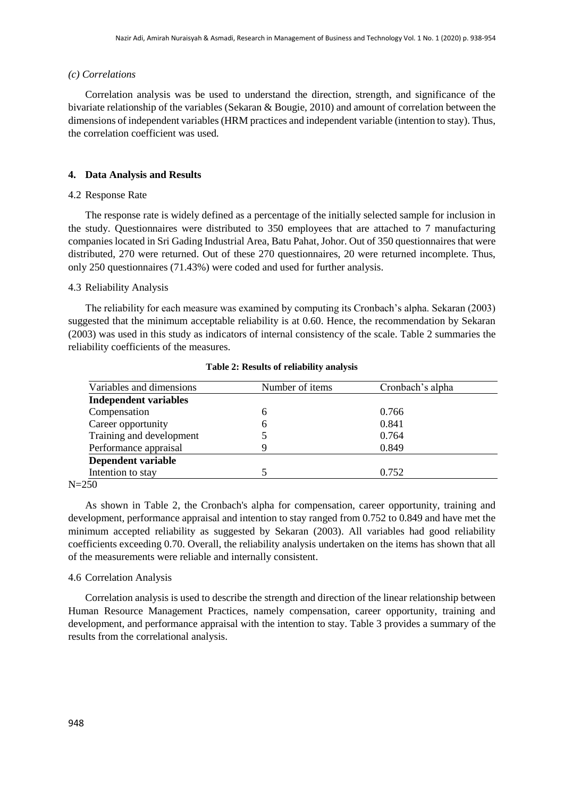#### *(c) Correlations*

Correlation analysis was be used to understand the direction, strength, and significance of the bivariate relationship of the variables [\(Sekaran & Bougie, 2010\)](#page-15-0) and amount of correlation between the dimensions of independent variables (HRM practices and independent variable (intention to stay). Thus, the correlation coefficient was used.

## **4. Data Analysis and Results**

## 4.2 Response Rate

The response rate is widely defined as a percentage of the initially selected sample for inclusion in the study. Questionnaires were distributed to 350 employees that are attached to 7 manufacturing companies located in Sri Gading Industrial Area, Batu Pahat, Johor. Out of 350 questionnaires that were distributed, 270 were returned. Out of these 270 questionnaires, 20 were returned incomplete. Thus, only 250 questionnaires (71.43%) were coded and used for further analysis.

## 4.3 Reliability Analysis

The reliability for each measure was examined by computing its Cronbach's alpha. Sekaran (2003) suggested that the minimum acceptable reliability is at 0.60. Hence, the recommendation by Sekaran (2003) was used in this study as indicators of internal consistency of the scale. Table 2 summaries the reliability coefficients of the measures.

| Number of items | Cronbach's alpha |  |  |
|-----------------|------------------|--|--|
|                 |                  |  |  |
| 6               | 0.766            |  |  |
| 6               | 0.841            |  |  |
|                 | 0.764            |  |  |
|                 | 0.849            |  |  |
|                 |                  |  |  |
|                 | 0.752            |  |  |
|                 |                  |  |  |

**Table 2: Results of reliability analysis**

N=250

As shown in Table 2, the Cronbach's alpha for compensation, career opportunity, training and development, performance appraisal and intention to stay ranged from 0.752 to 0.849 and have met the minimum accepted reliability as suggested by Sekaran (2003). All variables had good reliability coefficients exceeding 0.70. Overall, the reliability analysis undertaken on the items has shown that all of the measurements were reliable and internally consistent.

#### 4.6 Correlation Analysis

Correlation analysis is used to describe the strength and direction of the linear relationship between Human Resource Management Practices, namely compensation, career opportunity, training and development, and performance appraisal with the intention to stay. Table 3 provides a summary of the results from the correlational analysis.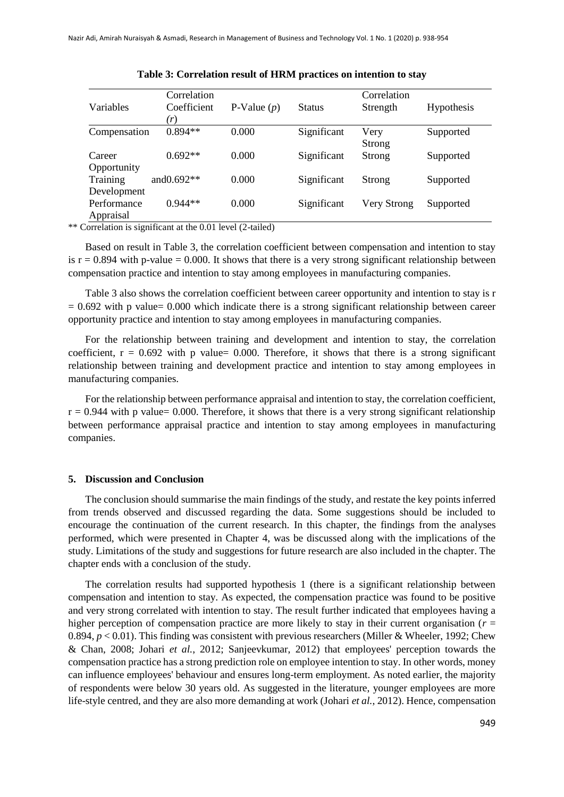|              | Correlation   |               |               | Correlation   |            |
|--------------|---------------|---------------|---------------|---------------|------------|
| Variables    | Coefficient   | P-Value $(p)$ | <b>Status</b> | Strength      | Hypothesis |
|              | (r)           |               |               |               |            |
| Compensation | $0.894**$     | 0.000         | Significant   | Very          | Supported  |
|              |               |               |               | Strong        |            |
| Career       | $0.692**$     | 0.000         | Significant   | <b>Strong</b> | Supported  |
| Opportunity  |               |               |               |               |            |
| Training     | and $0.692**$ | 0.000         | Significant   | <b>Strong</b> | Supported  |
| Development  |               |               |               |               |            |
| Performance  | $0.944**$     | 0.000         | Significant   | Very Strong   | Supported  |
| Appraisal    |               |               |               |               |            |

\*\* Correlation is significant at the 0.01 level (2-tailed)

Based on result in Table 3, the correlation coefficient between compensation and intention to stay is  $r = 0.894$  with p-value = 0.000. It shows that there is a very strong significant relationship between compensation practice and intention to stay among employees in manufacturing companies.

Table 3 also shows the correlation coefficient between career opportunity and intention to stay is r  $= 0.692$  with p value= 0.000 which indicate there is a strong significant relationship between career opportunity practice and intention to stay among employees in manufacturing companies.

For the relationship between training and development and intention to stay, the correlation coefficient,  $r = 0.692$  with p value= 0.000. Therefore, it shows that there is a strong significant relationship between training and development practice and intention to stay among employees in manufacturing companies.

For the relationship between performance appraisal and intention to stay, the correlation coefficient,  $r = 0.944$  with p value= 0.000. Therefore, it shows that there is a very strong significant relationship between performance appraisal practice and intention to stay among employees in manufacturing companies.

#### **5. Discussion and Conclusion**

The conclusion should summarise the main findings of the study, and restate the key points inferred from trends observed and discussed regarding the data. Some suggestions should be included to encourage the continuation of the current research. In this chapter, the findings from the analyses performed, which were presented in Chapter 4, was be discussed along with the implications of the study. Limitations of the study and suggestions for future research are also included in the chapter. The chapter ends with a conclusion of the study.

The correlation results had supported hypothesis 1 (there is a significant relationship between compensation and intention to stay. As expected, the compensation practice was found to be positive and very strong correlated with intention to stay. The result further indicated that employees having a higher perception of compensation practice are more likely to stay in their current organisation ( $r =$ 0.894,  $p < 0.01$ ). This finding was consistent with previous researchers (Miller & Wheeler, 1992; Chew & Chan, 2008; Johari *et al.*, 2012; Sanjeevkumar, 2012) that employees' perception towards the compensation practice has a strong prediction role on employee intention to stay. In other words, money can influence employees' behaviour and ensures long-term employment. As noted earlier, the majority of respondents were below 30 years old. As suggested in the literature, younger employees are more life-style centred, and they are also more demanding at work (Johari *et al.*, 2012). Hence, compensation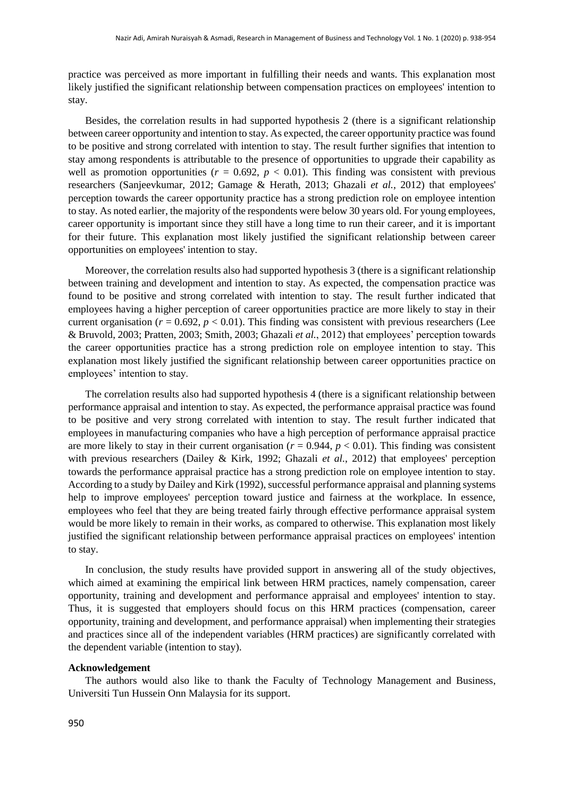practice was perceived as more important in fulfilling their needs and wants. This explanation most likely justified the significant relationship between compensation practices on employees' intention to stay.

Besides, the correlation results in had supported hypothesis 2 (there is a significant relationship between career opportunity and intention to stay. As expected, the career opportunity practice was found to be positive and strong correlated with intention to stay. The result further signifies that intention to stay among respondents is attributable to the presence of opportunities to upgrade their capability as well as promotion opportunities ( $r = 0.692$ ,  $p < 0.01$ ). This finding was consistent with previous researchers (Sanjeevkumar, 2012; Gamage & Herath, 2013; Ghazali *et al.*, 2012) that employees' perception towards the career opportunity practice has a strong prediction role on employee intention to stay. As noted earlier, the majority of the respondents were below 30 years old. For young employees, career opportunity is important since they still have a long time to run their career, and it is important for their future. This explanation most likely justified the significant relationship between career opportunities on employees' intention to stay.

Moreover, the correlation results also had supported hypothesis 3 (there is a significant relationship between training and development and intention to stay. As expected, the compensation practice was found to be positive and strong correlated with intention to stay. The result further indicated that employees having a higher perception of career opportunities practice are more likely to stay in their current organisation ( $r = 0.692$ ,  $p < 0.01$ ). This finding was consistent with previous researchers (Lee & Bruvold, 2003; Pratten, 2003; Smith, 2003; Ghazali *et al.*, 2012) that employees' perception towards the career opportunities practice has a strong prediction role on employee intention to stay. This explanation most likely justified the significant relationship between career opportunities practice on employees' intention to stay.

The correlation results also had supported hypothesis 4 (there is a significant relationship between performance appraisal and intention to stay. As expected, the performance appraisal practice was found to be positive and very strong correlated with intention to stay. The result further indicated that employees in manufacturing companies who have a high perception of performance appraisal practice are more likely to stay in their current organisation ( $r = 0.944$ ,  $p < 0.01$ ). This finding was consistent with previous researchers (Dailey & Kirk, 1992; Ghazali *et al.*, 2012) that employees' perception towards the performance appraisal practice has a strong prediction role on employee intention to stay. According to a study by Dailey and Kirk (1992), successful performance appraisal and planning systems help to improve employees' perception toward justice and fairness at the workplace. In essence, employees who feel that they are being treated fairly through effective performance appraisal system would be more likely to remain in their works, as compared to otherwise. This explanation most likely justified the significant relationship between performance appraisal practices on employees' intention to stay.

In conclusion, the study results have provided support in answering all of the study objectives, which aimed at examining the empirical link between HRM practices, namely compensation, career opportunity, training and development and performance appraisal and employees' intention to stay. Thus, it is suggested that employers should focus on this HRM practices (compensation, career opportunity, training and development, and performance appraisal) when implementing their strategies and practices since all of the independent variables (HRM practices) are significantly correlated with the dependent variable (intention to stay).

#### **Acknowledgement**

The authors would also like to thank the Faculty of Technology Management and Business, Universiti Tun Hussein Onn Malaysia for its support.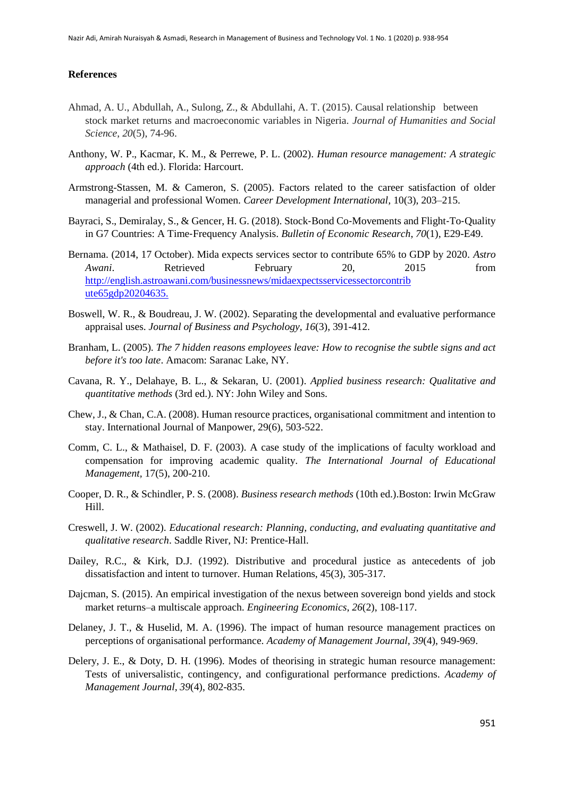## **References**

- Ahmad, A. U., Abdullah, A., Sulong, Z., & Abdullahi, A. T. (2015). Causal relationship between stock market returns and macroeconomic variables in Nigeria. *Journal of Humanities and Social Science*, *20*(5), 74-96.
- Anthony, W. P., Kacmar, K. M., & Perrewe, P. L. (2002). *Human resource management: A strategic approach* (4th ed.). Florida: Harcourt.
- Armstrong-Stassen, M. & Cameron, S. (2005). Factors related to the career satisfaction of older managerial and professional Women. *Career Development International,* 10(3), 203–215.
- Bayraci, S., Demiralay, S., & Gencer, H. G. (2018). Stock-Bond Co-Movements and Flight-To-Quality in G7 Countries: A Time‐Frequency Analysis. *Bulletin of Economic Research*, *70*(1), E29-E49.
- Bernama. (2014, 17 October). Mida expects services sector to contribute 65% to GDP by 2020. *Astro Awani*. Retrieved February 20, 2015 from <http://english.astroawani.com/businessnews/midaexpectsservicessectorcontrib> [ute65gdp20204635.](http://english.astroawani.com/businessnews/midaexpectsservicessectorcontribute65gdp20204635)
- Boswell, W. R., & Boudreau, J. W. (2002). Separating the developmental and evaluative performance appraisal uses. *Journal of Business and Psychology, 16*(3), 391-412.
- <span id="page-13-0"></span>Branham, L. (2005). *The 7 hidden reasons employees leave: How to recognise the subtle signs and act before it's too late*. Amacom: Saranac Lake, NY.
- Cavana, R. Y., Delahaye, B. L., & Sekaran, U. (2001). *Applied business research: Qualitative and quantitative methods* (3rd ed.). NY: John Wiley and Sons.
- Chew, J., & Chan, C.A. (2008). Human resource practices, organisational commitment and intention to stay. International Journal of Manpower, 29(6), 503-522.
- Comm, C. L., & Mathaisel, D. F. (2003). A case study of the implications of faculty workload and compensation for improving academic quality. *The International Journal of Educational Management,* 17(5), 200-210.
- Cooper, D. R., & Schindler, P. S. (2008). *Business research methods* (10th ed.).Boston: Irwin McGraw Hill.
- Creswell, J. W. (2002). *Educational research: Planning, conducting, and evaluating quantitative and qualitative research*. Saddle River, NJ: Prentice-Hall.
- Dailey, R.C., & Kirk, D.J. (1992). Distributive and procedural justice as antecedents of job dissatisfaction and intent to turnover. Human Relations, 45(3), 305-317.
- Dajcman, S. (2015). An empirical investigation of the nexus between sovereign bond yields and stock market returns–a multiscale approach. *Engineering Economics*, *26*(2), 108-117.
- Delaney, J. T., & Huselid, M. A. (1996). The impact of human resource management practices on perceptions of organisational performance. *Academy of Management Journal, 39*(4), 949-969.
- Delery, J. E., & Doty, D. H. (1996). Modes of theorising in strategic human resource management: Tests of universalistic, contingency, and configurational performance predictions. *Academy of Management Journal, 39*(4), 802-835.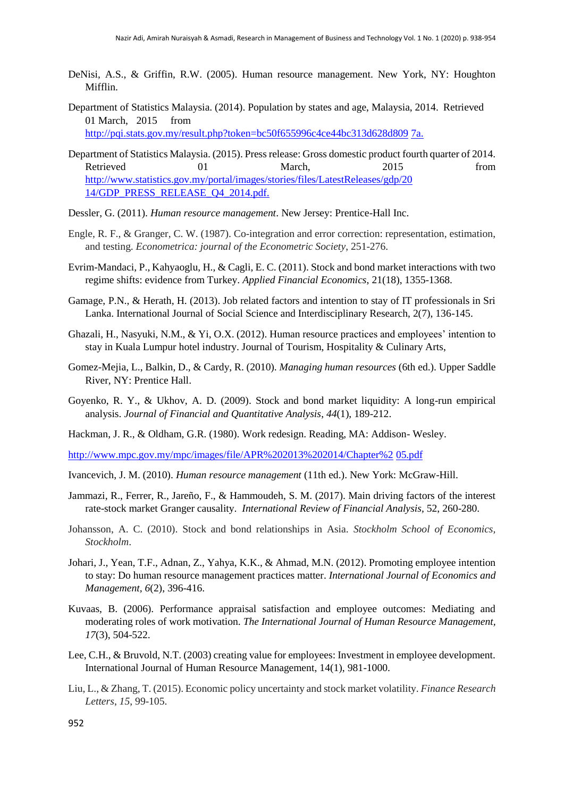- DeNisi, A.S., & Griffin, R.W. (2005). Human resource management. New York, NY: Houghton Mifflin.
- Department of Statistics Malaysia. (2014). Population by states and age, Malaysia, 2014. Retrieved 01 March, 2015 from [http://pqi.stats.gov.my/result.php?token=bc50f655996c4ce44bc313d628d809](http://pqi.stats.gov.my/result.php?token=bc50f655996c4ce44bc313d628d8097a)[7a.](http://pqi.stats.gov.my/result.php?token=bc50f655996c4ce44bc313d628d8097a)
- Department of Statistics Malaysia. (2015). Press release: Gross domestic product fourth quarter of 2014. Retrieved 01 March, 2015 from <http://www.statistics.gov.my/portal/images/stories/files/LatestReleases/gdp/20> 14/GDP\_PRESS\_RELEASE\_O4\_2014.pdf.
- Dessler, G. (2011). *Human resource management*. New Jersey: Prentice-Hall Inc.
- Engle, R. F., & Granger, C. W. (1987). Co-integration and error correction: representation, estimation, and testing. *Econometrica: journal of the Econometric Society*, 251-276.
- Evrim-Mandaci, P., Kahyaoglu, H., & Cagli, E. C. (2011). Stock and bond market interactions with two regime shifts: evidence from Turkey. *Applied Financial Economics*, 21(18), 1355-1368.
- Gamage, P.N., & Herath, H. (2013). Job related factors and intention to stay of IT professionals in Sri Lanka. International Journal of Social Science and Interdisciplinary Research, 2(7), 136-145.
- Ghazali, H., Nasyuki, N.M., & Yi, O.X. (2012). Human resource practices and employees' intention to stay in Kuala Lumpur hotel industry. Journal of Tourism, Hospitality & Culinary Arts,
- Gomez-Mejia, L., Balkin, D., & Cardy, R. (2010). *Managing human resources* (6th ed.). Upper Saddle River, NY: Prentice Hall.
- Goyenko, R. Y., & Ukhov, A. D. (2009). Stock and bond market liquidity: A long-run empirical analysis. *Journal of Financial and Quantitative Analysis*, *44*(1), 189-212.
- Hackman, J. R., & Oldham, G.R. (1980). Work redesign. Reading, MA: Addison- Wesley.

[http://www.mpc.gov.my/mpc/images/file/APR%202013%202014/Chapter%2](http://www.mpc.gov.my/mpc/images/file/APR%202013%202014/Chapter%205.pdf) [05.pdf](http://www.mpc.gov.my/mpc/images/file/APR%202013%202014/Chapter%205.pdf)

- Ivancevich, J. M. (2010). *Human resource management* (11th ed.). New York: McGraw-Hill.
- Jammazi, R., Ferrer, R., Jareño, F., & Hammoudeh, S. M. (2017). Main driving factors of the interest rate-stock market Granger causality. *International Review of Financial Analysis*, 52, 260-280.
- Johansson, A. C. (2010). Stock and bond relationships in Asia. *Stockholm School of Economics, Stockholm*.
- Johari, J., Yean, T.F., Adnan, Z., Yahya, K.K., & Ahmad, M.N. (2012). Promoting employee intention to stay: Do human resource management practices matter. *International Journal of Economics and Management, 6*(2), 396-416.
- Kuvaas, B. (2006). Performance appraisal satisfaction and employee outcomes: Mediating and moderating roles of work motivation. *The International Journal of Human Resource Management, 17*(3), 504-522.
- Lee, C.H., & Bruvold, N.T. (2003) creating value for employees: Investment in employee development. International Journal of Human Resource Management, 14(1), 981-1000.
- Liu, L., & Zhang, T. (2015). Economic policy uncertainty and stock market volatility. *Finance Research Letters*, *15*, 99-105.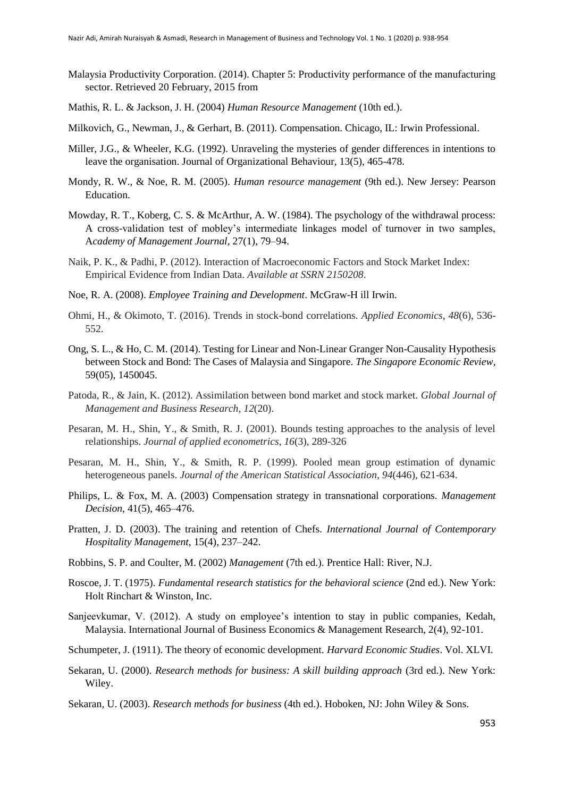- Malaysia Productivity Corporation. (2014). Chapter 5: Productivity performance of the manufacturing sector. Retrieved 20 February, 2015 from
- Mathis, R. L. & Jackson, J. H. (2004) *Human Resource Management* (10th ed.).
- Milkovich, G., Newman, J., & Gerhart, B. (2011). Compensation. Chicago, IL: Irwin Professional.
- Miller, J.G., & Wheeler, K.G. (1992). Unraveling the mysteries of gender differences in intentions to leave the organisation. Journal of Organizational Behaviour, 13(5), 465-478.
- Mondy, R. W., & Noe, R. M. (2005). *Human resource management* (9th ed.). New Jersey: Pearson Education.
- <span id="page-15-0"></span>Mowday, R. T., Koberg, C. S. & McArthur, A. W. (1984). The psychology of the withdrawal process: A cross-validation test of mobley's intermediate linkages model of turnover in two samples, A*cademy of Management Journal,* 27(1), 79–94.
- Naik, P. K., & Padhi, P. (2012). Interaction of Macroeconomic Factors and Stock Market Index: Empirical Evidence from Indian Data. *Available at SSRN 2150208*.
- Noe, R. A. (2008). *Employee Training and Development*. McGraw-H ill Irwin.
- Ohmi, H., & Okimoto, T. (2016). Trends in stock-bond correlations. *Applied Economics*, *48*(6), 536- 552.
- Ong, S. L., & Ho, C. M. (2014). Testing for Linear and Non-Linear Granger Non-Causality Hypothesis between Stock and Bond: The Cases of Malaysia and Singapore. *The Singapore Economic Review*, 59(05), 1450045.
- Patoda, R., & Jain, K. (2012). Assimilation between bond market and stock market. *Global Journal of Management and Business Research*, *12*(20).
- Pesaran, M. H., Shin, Y., & Smith, R. J. (2001). Bounds testing approaches to the analysis of level relationships. *Journal of applied econometrics*, *16*(3), 289-326
- Pesaran, M. H., Shin, Y., & Smith, R. P. (1999). Pooled mean group estimation of dynamic heterogeneous panels. *Journal of the American Statistical Association*, *94*(446), 621-634.
- Philips, L. & Fox, M. A. (2003) Compensation strategy in transnational corporations. *Management Decision,* 41(5), 465–476.
- Pratten, J. D. (2003). The training and retention of Chefs. *International Journal of Contemporary Hospitality Management*, 15(4), 237–242.
- Robbins, S. P. and Coulter, M. (2002) *Management* (7th ed.). Prentice Hall: River, N.J.
- Roscoe, J. T. (1975). *Fundamental research statistics for the behavioral science* (2nd ed.). New York: Holt Rinchart & Winston, Inc.
- Sanjeevkumar, V. (2012). A study on employee's intention to stay in public companies, Kedah, Malaysia. International Journal of Business Economics & Management Research, 2(4), 92-101.
- Schumpeter, J. (1911). The theory of economic development. *Harvard Economic Studies*. Vol. XLVI.
- Sekaran, U. (2000). *Research methods for business: A skill building approach* (3rd ed.). New York: Wiley.
- Sekaran, U. (2003). *Research methods for business* (4th ed.). Hoboken, NJ: John Wiley & Sons.